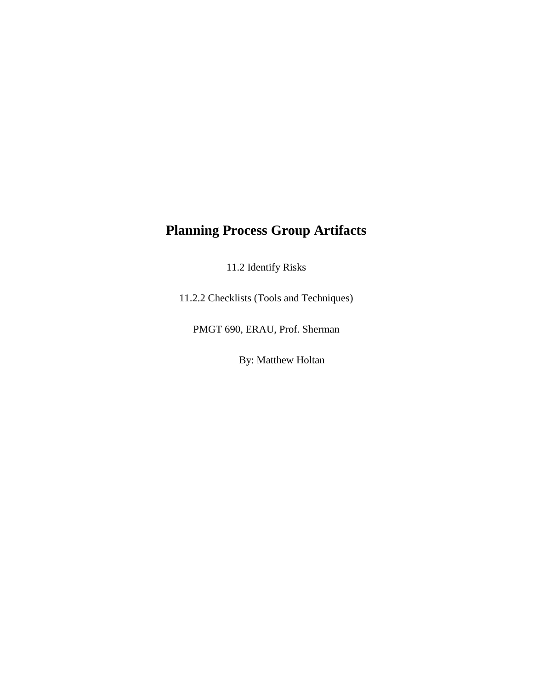## **Planning Process Group Artifacts**

11.2 Identify Risks

11.2.2 Checklists (Tools and Techniques)

PMGT 690, ERAU, Prof. Sherman

By: Matthew Holtan